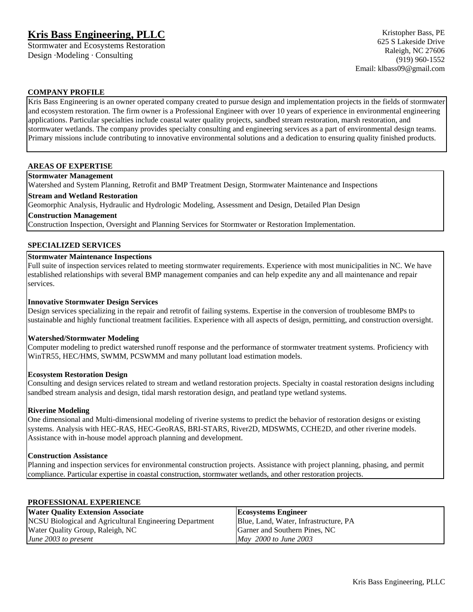# **Kris Bass Engineering, PLLC**

Stormwater and Ecosystems Restoration Design ·Modeling · Consulting

#### **COMPANY PROFILE**

Kris Bass Engineering is an owner operated company created to pursue design and implementation projects in the fields of stormwater and ecosystem restoration. The firm owner is a Professional Engineer with over 10 years of experience in environmental engineering applications. Particular specialties include coastal water quality projects, sandbed stream restoration, marsh restoration, and stormwater wetlands. The company provides specialty consulting and engineering services as a part of environmental design teams. Primary missions include contributing to innovative environmental solutions and a dedication to ensuring quality finished products.

# **AREAS OF EXPERTISE**

#### **Stormwater Management**

Watershed and System Planning, Retrofit and BMP Treatment Design, Stormwater Maintenance and Inspections

# **Stream and Wetland Restoration**

Geomorphic Analysis, Hydraulic and Hydrologic Modeling, Assessment and Design, Detailed Plan Design

**Construction Management**

Construction Inspection, Oversight and Planning Services for Stormwater or Restoration Implementation.

#### **SPECIALIZED SERVICES**

### **Stormwater Maintenance Inspections**

Full suite of inspection services related to meeting stormwater requirements. Experience with most municipalities in NC. We have established relationships with several BMP management companies and can help expedite any and all maintenance and repair services.

#### **Innovative Stormwater Design Services**

Design services specializing in the repair and retrofit of failing systems. Expertise in the conversion of troublesome BMPs to sustainable and highly functional treatment facilities. Experience with all aspects of design, permitting, and construction oversight.

#### **Watershed/Stormwater Modeling**

Computer modeling to predict watershed runoff response and the performance of stormwater treatment systems. Proficiency with WinTR55, HEC/HMS, SWMM, PCSWMM and many pollutant load estimation models.

#### **Ecosystem Restoration Design**

Consulting and design services related to stream and wetland restoration projects. Specialty in coastal restoration designs including sandbed stream analysis and design, tidal marsh restoration design, and peatland type wetland systems.

#### **Riverine Modeling**

One dimensional and Multi-dimensional modeling of riverine systems to predict the behavior of restoration designs or existing systems. Analysis with HEC-RAS, HEC-GeoRAS, BRI-STARS, River2D, MDSWMS, CCHE2D, and other riverine models. Assistance with in-house model approach planning and development.

#### **Construction Assistance**

Planning and inspection services for environmental construction projects. Assistance with project planning, phasing, and permit compliance. Particular expertise in coastal construction, stormwater wetlands, and other restoration projects.

#### **PROFESSIONAL EXPERIENCE**

| <b>Water Quality Extension Associate</b>                | Ecosystems Engineer                   |
|---------------------------------------------------------|---------------------------------------|
| NCSU Biological and Agricultural Engineering Department | Blue, Land, Water, Infrastructure, PA |
| Water Quality Group, Raleigh, NC                        | Garner and Southern Pines, NC         |
| June 2003 to present                                    | May 2000 to June 2003                 |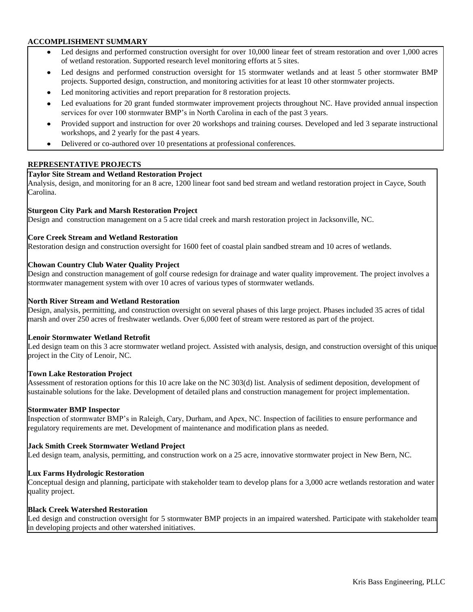#### **ACCOMPLISHMENT SUMMARY**

- Led designs and performed construction oversight for over 10,000 linear feet of stream restoration and over 1,000 acres of wetland restoration. Supported research level monitoring efforts at 5 sites.
- Led designs and performed construction oversight for 15 stormwater wetlands and at least 5 other stormwater BMP  $\bullet$ projects. Supported design, construction, and monitoring activities for at least 10 other stormwater projects.
- $\bullet$ Led monitoring activities and report preparation for 8 restoration projects.
- Led evaluations for 20 grant funded stormwater improvement projects throughout NC. Have provided annual inspection  $\bullet$ services for over 100 stormwater BMP's in North Carolina in each of the past 3 years.
- Provided support and instruction for over 20 workshops and training courses. Developed and led 3 separate instructional  $\bullet$ workshops, and 2 yearly for the past 4 years.
- Delivered or co-authored over 10 presentations at professional conferences.  $\bullet$

# **REPRESENTATIVE PROJECTS**

#### **Taylor Site Stream and Wetland Restoration Project**

Analysis, design, and monitoring for an 8 acre, 1200 linear foot sand bed stream and wetland restoration project in Cayce, South Carolina.

# **Sturgeon City Park and Marsh Restoration Project**

Design and construction management on a 5 acre tidal creek and marsh restoration project in Jacksonville, NC.

# **Core Creek Stream and Wetland Restoration**

Restoration design and construction oversight for 1600 feet of coastal plain sandbed stream and 10 acres of wetlands.

#### **Chowan Country Club Water Quality Project**

Design and construction management of golf course redesign for drainage and water quality improvement. The project involves a stormwater management system with over 10 acres of various types of stormwater wetlands.

#### **North River Stream and Wetland Restoration**

Design, analysis, permitting, and construction oversight on several phases of this large project. Phases included 35 acres of tidal marsh and over 250 acres of freshwater wetlands. Over 6,000 feet of stream were restored as part of the project.

#### **Lenoir Stormwater Wetland Retrofit**

Led design team on this 3 acre stormwater wetland project. Assisted with analysis, design, and construction oversight of this unique project in the City of Lenoir, NC.

#### **Town Lake Restoration Project**

Assessment of restoration options for this 10 acre lake on the NC 303(d) list. Analysis of sediment deposition, development of sustainable solutions for the lake. Development of detailed plans and construction management for project implementation.

#### **Stormwater BMP Inspector**

Inspection of stormwater BMP's in Raleigh, Cary, Durham, and Apex, NC. Inspection of facilities to ensure performance and regulatory requirements are met. Development of maintenance and modification plans as needed.

#### **Jack Smith Creek Stormwater Wetland Project**

Led design team, analysis, permitting, and construction work on a 25 acre, innovative stormwater project in New Bern, NC.

#### **Lux Farms Hydrologic Restoration**

Conceptual design and planning, participate with stakeholder team to develop plans for a 3,000 acre wetlands restoration and water quality project.

#### **Black Creek Watershed Restoration**

Led design and construction oversight for 5 stormwater BMP projects in an impaired watershed. Participate with stakeholder team in developing projects and other watershed initiatives.